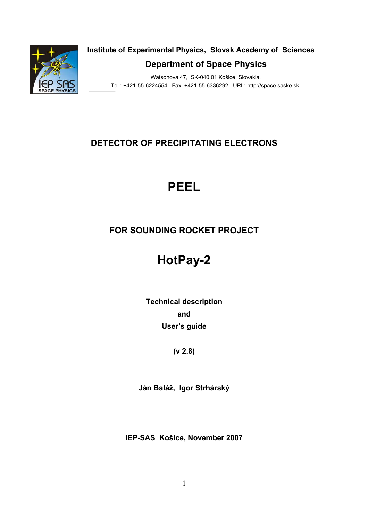

**Institute of Experimental Physics, Slovak Academy of Sciences** 

**Department of Space Physics** 

 Watsonova 47, SK-040 01 Košice, Slovakia, Tel.: +421-55-6224554, Fax: +421-55-6336292, URL: http://space.saske.sk

## **DETECTOR OF PRECIPITATING ELECTRONS**

# **PEEL**

## **FOR SOUNDING ROCKET PROJECT**

# **HotPay-2**

**Technical description and User's guide** 

## **(v 2.8)**

**Ján Baláž, Igor Strhárský** 

**IEP-SAS Košice, November 2007**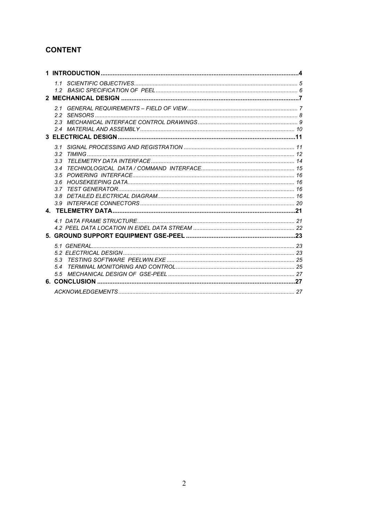## **CONTENT**

| 31  |  |
|-----|--|
|     |  |
| 3.3 |  |
|     |  |
|     |  |
|     |  |
|     |  |
|     |  |
|     |  |
|     |  |
|     |  |
|     |  |
|     |  |
|     |  |
|     |  |
| 5.3 |  |
|     |  |
|     |  |
|     |  |
|     |  |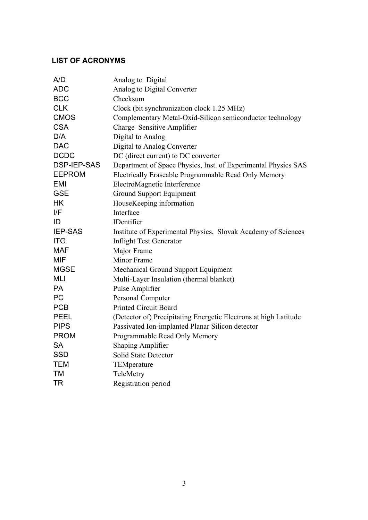## **LIST OF ACRONYMS**

| A/D                | Analog to Digital                                                |
|--------------------|------------------------------------------------------------------|
| <b>ADC</b>         | Analog to Digital Converter                                      |
| <b>BCC</b>         | Checksum                                                         |
| <b>CLK</b>         | Clock (bit synchronization clock 1.25 MHz)                       |
| <b>CMOS</b>        | Complementary Metal-Oxid-Silicon semiconductor technology        |
| <b>CSA</b>         | Charge Sensitive Amplifier                                       |
| D/A                | Digital to Analog                                                |
| <b>DAC</b>         | Digital to Analog Converter                                      |
| <b>DCDC</b>        | DC (direct current) to DC converter                              |
| <b>DSP-IEP-SAS</b> | Department of Space Physics, Inst. of Experimental Physics SAS   |
| <b>EEPROM</b>      | Electrically Eraseable Programmable Read Only Memory             |
| <b>EMI</b>         | ElectroMagnetic Interference                                     |
| <b>GSE</b>         | Ground Support Equipment                                         |
| <b>HK</b>          | HouseKeeping information                                         |
| I/F                | Interface                                                        |
| ID                 | IDentifier                                                       |
| <b>IEP-SAS</b>     | Institute of Experimental Physics, Slovak Academy of Sciences    |
| <b>ITG</b>         | <b>Inflight Test Generator</b>                                   |
| <b>MAF</b>         | Major Frame                                                      |
| <b>MIF</b>         | <b>Minor Frame</b>                                               |
| <b>MGSE</b>        | <b>Mechanical Ground Support Equipment</b>                       |
| <b>MLI</b>         | Multi-Layer Insulation (thermal blanket)                         |
| <b>PA</b>          | Pulse Amplifier                                                  |
| <b>PC</b>          | Personal Computer                                                |
| <b>PCB</b>         | <b>Printed Circuit Board</b>                                     |
| <b>PEEL</b>        | (Detector of) Precipitating Energetic Electrons at high Latitude |
| <b>PIPS</b>        | Passivated Ion-implanted Planar Silicon detector                 |
| <b>PROM</b>        | Programmable Read Only Memory                                    |
| <b>SA</b>          | <b>Shaping Amplifier</b>                                         |
| <b>SSD</b>         | Solid State Detector                                             |
| <b>TEM</b>         | TEMperature                                                      |
| <b>TM</b>          | TeleMetry                                                        |
| <b>TR</b>          | Registration period                                              |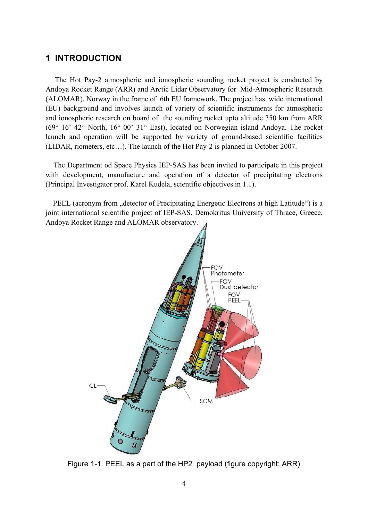## **1 INTRODUCTION**

 The Hot Pay-2 atmospheric and ionospheric sounding rocket project is conducted by Andoya Rocket Range (ARR) and Arctic Lidar Observatory for Mid-Atmospheric Reserach (ALOMAR), Norway in the frame of 6th EU framework. The project has wide international (EU) background and involves launch of variety of scientific instruments for atmospheric and ionospheric research on board of the sounding rocket upto altitude 350 km from ARR (69° 16' 42" North, 16° 00' 31" East), located on Norwegian island Andoya. The rocket launch and operation will be supported by variety of ground-based scientific facilities (LIDAR, riometers, etc…). The launch of the Hot Pay-2 is planned in October 2007.

The Department od Space Physics IEP-SAS has been invited to participate in this project with development, manufacture and operation of a detector of precipitating electrons (Principal Investigator prof. Karel Kudela, scientific objectives in 1.1).

PEEL (acronym from "detector of Precipitating Energetic Electrons at high Latitude") is a joint international scientific project of IEP-SAS, Demokritus University of Thrace, Greece, Andoya Rocket Range and ALOMAR observatory.



Figure 1-1. PEEL as a part of the HP2 payload (figure copyright: ARR)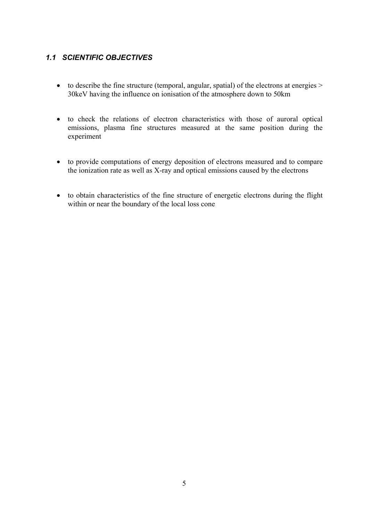## *1.1 SCIENTIFIC OBJECTIVES*

- to describe the fine structure (temporal, angular, spatial) of the electrons at energies  $>$ 30keV having the influence on ionisation of the atmosphere down to 50km
- to check the relations of electron characteristics with those of auroral optical emissions, plasma fine structures measured at the same position during the experiment
- to provide computations of energy deposition of electrons measured and to compare the ionization rate as well as X-ray and optical emissions caused by the electrons
- to obtain characteristics of the fine structure of energetic electrons during the flight within or near the boundary of the local loss cone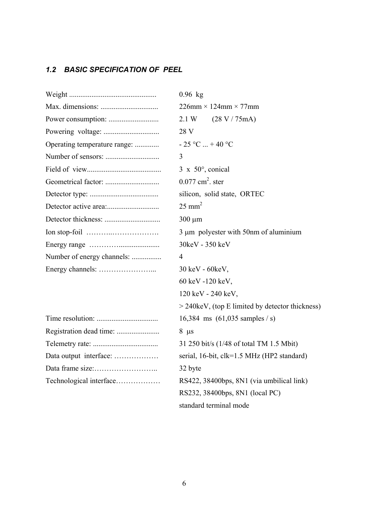## *1.2 BASIC SPECIFICATION OF PEEL*

|                              | $0.96$ kg                                         |
|------------------------------|---------------------------------------------------|
|                              | $226$ mm × 124mm × 77mm                           |
|                              | 2.1 W<br>(28 V / 75 mA)                           |
|                              | 28 V                                              |
| Operating temperature range: | $-25$ °C  +40 °C                                  |
|                              | 3                                                 |
|                              | $3 \times 50^{\circ}$ , conical                   |
|                              | $0.077$ cm <sup>2</sup> . ster                    |
|                              | silicon, solid state, ORTEC                       |
|                              | $25 \text{ mm}^2$                                 |
|                              | $300 \mu m$                                       |
|                              | 3 µm polyester with 50nm of aluminium             |
|                              | 30keV - 350 keV                                   |
| Number of energy channels:   | 4                                                 |
|                              | 30 keV - 60 keV,                                  |
|                              | 60 keV -120 keV,                                  |
|                              | 120 keV - 240 keV,                                |
|                              | $>$ 240keV, (top E limited by detector thickness) |
|                              | 16,384 ms $(61,035$ samples / s)                  |
|                              | $8 \mu s$                                         |
|                              | 31 250 bit/s (1/48 of total TM 1.5 Mbit)          |
| Data output interface:       | serial, 16-bit, clk=1.5 MHz (HP2 standard)        |
|                              | 32 byte                                           |
| Technological interface      | RS422, 38400bps, 8N1 (via umbilical link)         |
|                              | RS232, 38400bps, 8N1 (local PC)                   |
|                              | standard terminal mode                            |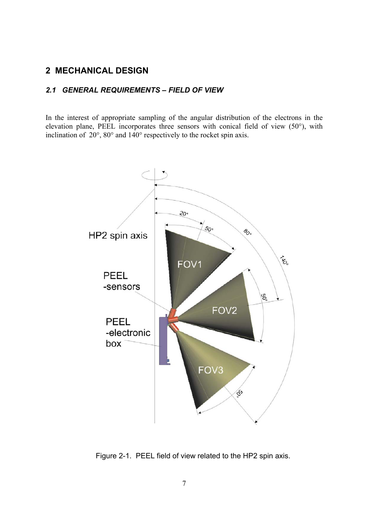## **2 MECHANICAL DESIGN**

#### *2.1 GENERAL REQUIREMENTS – FIELD OF VIEW*

In the interest of appropriate sampling of the angular distribution of the electrons in the elevation plane, PEEL incorporates three sensors with conical field of view (50°), with inclination of 20°, 80° and 140° respectively to the rocket spin axis.



Figure 2-1. PEEL field of view related to the HP2 spin axis.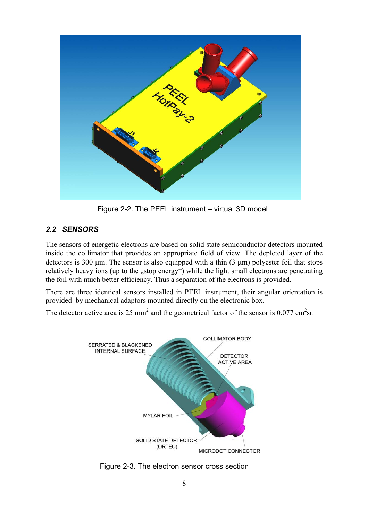

Figure 2-2. The PEEL instrument – virtual 3D model

## *2.2 SENSORS*

The sensors of energetic electrons are based on solid state semiconductor detectors mounted inside the collimator that provides an appropriate field of view. The depleted layer of the detectors is 300  $\mu$ m. The sensor is also equipped with a thin (3  $\mu$ m) polyester foil that stops relatively heavy ions (up to the "stop energy") while the light small electrons are penetrating the foil with much better efficiency. Thus a separation of the electrons is provided.

There are three identical sensors installed in PEEL instrument, their angular orientation is provided by mechanical adaptors mounted directly on the electronic box.

The detector active area is 25 mm<sup>2</sup> and the geometrical factor of the sensor is 0.077 cm<sup>2</sup>sr.



Figure 2-3. The electron sensor cross section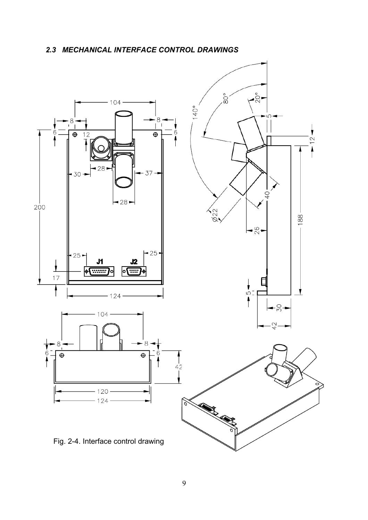## *2.3 MECHANICAL INTERFACE CONTROL DRAWINGS*

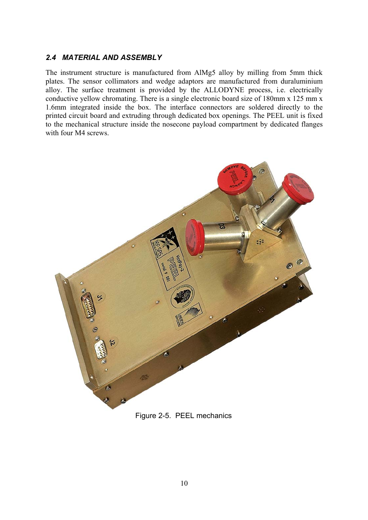#### *2.4 MATERIAL AND ASSEMBLY*

The instrument structure is manufactured from AlMg5 alloy by milling from 5mm thick plates. The sensor collimators and wedge adaptors are manufactured from duraluminium alloy. The surface treatment is provided by the ALLODYNE process, i.e. electrically conductive yellow chromating. There is a single electronic board size of 180mm x 125 mm x 1.6mm integrated inside the box. The interface connectors are soldered directly to the printed circuit board and extruding through dedicated box openings. The PEEL unit is fixed to the mechanical structure inside the nosecone payload compartment by dedicated flanges with four M4 screws.



Figure 2-5. PEEL mechanics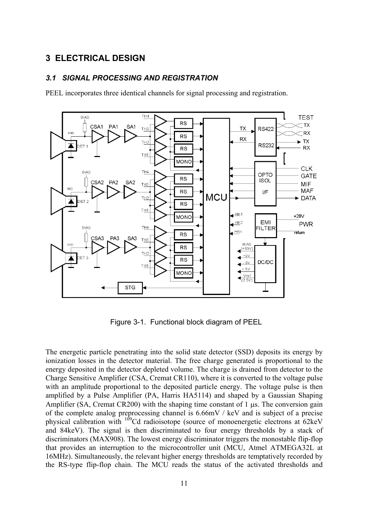#### **3 ELECTRICAL DESIGN**

#### *3.1 SIGNAL PROCESSING AND REGISTRATION*

PEEL incorporates three identical channels for signal processing and registration.



Figure 3-1. Functional block diagram of PEEL

The energetic particle penetrating into the solid state detector (SSD) deposits its energy by ionization losses in the detector material. The free charge generated is proportional to the energy deposited in the detector depleted volume. The charge is drained from detector to the Charge Sensitive Amplifier (CSA, Cremat CR110), where it is converted to the voltage pulse with an amplitude proportional to the deposited particle energy. The voltage pulse is then amplified by a Pulse Amplifier (PA, Harris HA5114) and shaped by a Gaussian Shaping Amplifier (SA, Cremat CR200) with the shaping time constant of 1 µs. The conversion gain of the complete analog preprocessing channel is 6.66mV / keV and is subject of a precise physical calibration with <sup>109</sup>Cd radioisotope (source of monoenergetic electrons at 62keV) and 84keV). The signal is then discriminated to four energy thresholds by a stack of discriminators (MAX908). The lowest energy discriminator triggers the monostable flip-flop that provides an interruption to the microcontroller unit (MCU, Atmel ATMEGA32L at 16MHz). Simultaneously, the relevant higher energy thresholds are temptatively recorded by the RS-type flip-flop chain. The MCU reads the status of the activated thresholds and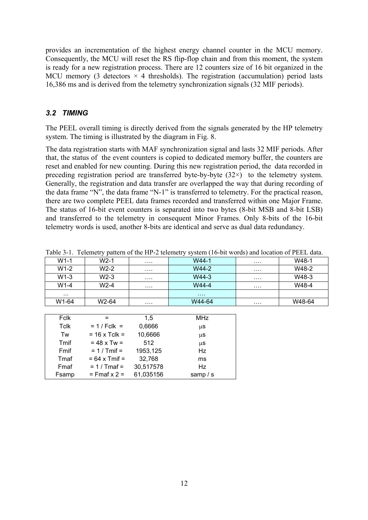provides an incrementation of the highest energy channel counter in the MCU memory. Consequently, the MCU will reset the RS flip-flop chain and from this moment, the system is ready for a new registration process. There are 12 counters size of 16 bit organized in the MCU memory (3 detectors  $\times$  4 thresholds). The registration (accumulation) period lasts 16,386 ms and is derived from the telemetry synchronization signals (32 MIF periods).

#### *3.2 TIMING*

The PEEL overall timing is directly derived from the signals generated by the HP telemetry system. The timing is illustrated by the diagram in Fig. 8.

The data registration starts with MAF synchronization signal and lasts 32 MIF periods. After that, the status of the event counters is copied to dedicated memory buffer, the counters are reset and enabled for new counting. During this new registration period, the data recorded in preceding registration period are transferred byte-by-byte  $(32\times)$  to the telemetry system. Generally, the registration and data transfer are overlapped the way that during recording of the data frame "N", the data frame "N-1" is transferred to telemetry. For the practical reason, there are two complete PEEL data frames recorded and transferred within one Major Frame. The status of 16-bit event counters is separated into two bytes (8-bit MSB and 8-bit LSB) and transferred to the telemetry in consequent Minor Frames. Only 8-bits of the 16-bit telemetry words is used, another 8-bits are identical and serve as dual data redundancy.

| Table $J^2$ . Telementy pattern of the TH -2 telementy system (TO-bit words) and location of I LEE data. |        |   |        |   |        |  |  |  |  |  |
|----------------------------------------------------------------------------------------------------------|--------|---|--------|---|--------|--|--|--|--|--|
| $W1-1$                                                                                                   | W2-1   |   | W44-1  | . | W48-1  |  |  |  |  |  |
| $W1-2$                                                                                                   | $W2-2$ | . | W44-2  | . | W48-2  |  |  |  |  |  |
| $W1-3$                                                                                                   | $W2-3$ | . | $W4-3$ | . | W48-3  |  |  |  |  |  |
| $W1-4$                                                                                                   | W2-4   | . | W44-4  | . | W48-4  |  |  |  |  |  |
| $\cdots$                                                                                                 |        |   |        |   |        |  |  |  |  |  |
| W1-64                                                                                                    | W2-64  | . | W44-64 | . | W48-64 |  |  |  |  |  |
|                                                                                                          |        |   |        |   |        |  |  |  |  |  |

Table 3-1. Telemetry pattern of the HP-2 telemetry system (16-bit words) and location of PEEL data.

| Fclk        |                        | 1.5       | <b>MHz</b> |
|-------------|------------------------|-----------|------------|
| <b>Tclk</b> | $= 1 / Fclk =$         | 0,6666    | μS         |
| Tw          | $= 16 \times$ Tclk =   | 10,6666   | $\mu$ S    |
| Tmif        | $= 48 \times Tw =$     | 512       | μS         |
| Fmif        | $= 1 / Tm$ if =        | 1953,125  | Hz         |
| Tmaf        | $= 64 \times$ Tmif $=$ | 32,768    | ms         |
| Fmaf        | $= 1 / T$ maf $=$      | 30,517578 | Hz         |
| Fsamp       | $=$ Fmaf $x$ 2 =       | 61,035156 | samp $/s$  |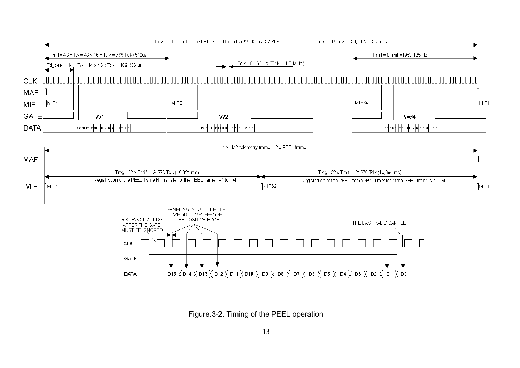

Figure.3-2. Timing of the PEEL operation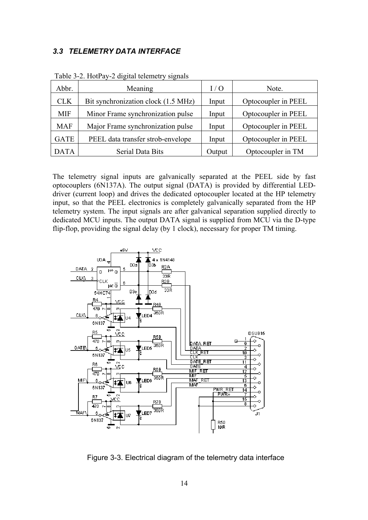#### *3.3 TELEMETRY DATA INTERFACE*

| Abbr.       | Meaning                             | I / O  | Note.               |
|-------------|-------------------------------------|--------|---------------------|
| <b>CLK</b>  | Bit synchronization clock (1.5 MHz) | Input  | Optocoupler in PEEL |
| <b>MIF</b>  | Minor Frame synchronization pulse   | Input  | Optocoupler in PEEL |
| <b>MAF</b>  | Major Frame synchronization pulse   | Input  | Optocoupler in PEEL |
| <b>GATE</b> | PEEL data transfer strob-envelope   | Input  | Optocoupler in PEEL |
| <b>DATA</b> | Serial Data Bits                    | Output | Optocoupler in TM   |

Table 3-2. HotPay-2 digital telemetry signals

The telemetry signal inputs are galvanically separated at the PEEL side by fast optocouplers (6N137A). The output signal (DATA) is provided by differential LEDdriver (current loop) and drives the dedicated optocoupler located at the HP telemetry input, so that the PEEL electronics is completely galvanically separated from the HP telemetry system. The input signals are after galvanical separation supplied directly to dedicated MCU inputs. The output DATA signal is supplied from MCU via the D-type flip-flop, providing the signal delay (by 1 clock), necessary for proper TM timing.



Figure 3-3. Electrical diagram of the telemetry data interface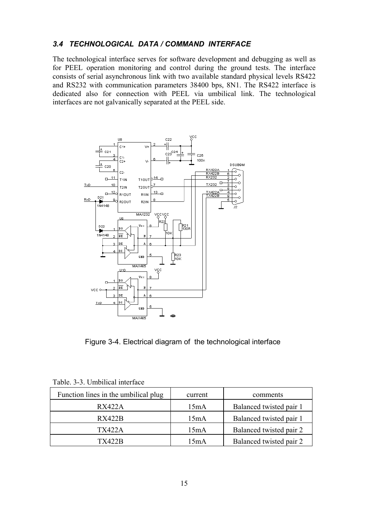#### *3.4 TECHNOLOGICAL DATA / COMMAND INTERFACE*

The technological interface serves for software development and debugging as well as for PEEL operation monitoring and control during the ground tests. The interface consists of serial asynchronous link with two available standard physical levels RS422 and RS232 with communication parameters 38400 bps, 8N1. The RS422 interface is dedicated also for connection with PEEL via umbilical link. The technological interfaces are not galvanically separated at the PEEL side.



Figure 3-4. Electrical diagram of the technological interface

| Function lines in the umbilical plug | current | comments                |
|--------------------------------------|---------|-------------------------|
| RX422A                               | 15mA    | Balanced twisted pair 1 |
| <b>RX422B</b>                        | 15mA    | Balanced twisted pair 1 |
| <b>TX422A</b>                        | 15mA    | Balanced twisted pair 2 |
| TX422B                               | 15mA    | Balanced twisted pair 2 |

Table. 3-3. Umbilical interface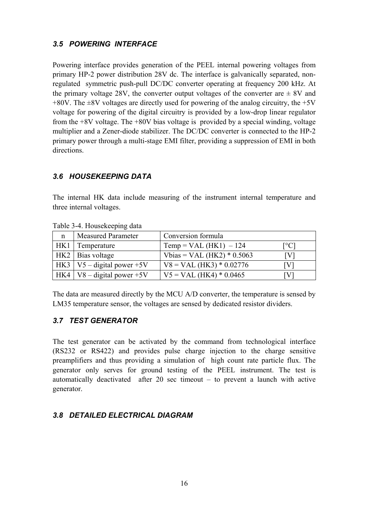### *3.5 POWERING INTERFACE*

Powering interface provides generation of the PEEL internal powering voltages from primary HP-2 power distribution 28V dc. The interface is galvanically separated, nonregulated symmetric push-pull DC/DC converter operating at frequency 200 kHz. At the primary voltage 28V, the converter output voltages of the converter are  $\pm 8V$  and  $+80V$ . The  $\pm 8V$  voltages are directly used for powering of the analog circuitry, the  $+5V$ voltage for powering of the digital circuitry is provided by a low-drop linear regulator from the +8V voltage. The +80V bias voltage is provided by a special winding, voltage multiplier and a Zener-diode stabilizer. The DC/DC converter is connected to the HP-2 primary power through a multi-stage EMI filter, providing a suppression of EMI in both directions.

## *3.6 HOUSEKEEPING DATA*

The internal HK data include measuring of the instrument internal temperature and three internal voltages.

| $1.0017 \times 10.0000$ |                                |                              |      |  |  |  |  |  |  |
|-------------------------|--------------------------------|------------------------------|------|--|--|--|--|--|--|
| $\mathbf n$             | <b>Measured Parameter</b>      | Conversion formula           |      |  |  |  |  |  |  |
| HK1                     | Temperature                    | $Temp = VAL (HK1) - 124$     | [°C] |  |  |  |  |  |  |
|                         | HK2   Bias voltage             | Vbias = VAL (HK2) $*$ 0.5063 | IVI  |  |  |  |  |  |  |
|                         | HK3   V5 – digital power +5V   | $V8 = VAL (HK3) * 0.02776$   | IVI  |  |  |  |  |  |  |
|                         | $HK4$   V8 – digital power +5V | $V5 = VAL (HK4) * 0.0465$    | IV.  |  |  |  |  |  |  |

Table 3-4. Housekeeping data

The data are measured directly by the MCU A/D converter, the temperature is sensed by LM35 temperature sensor, the voltages are sensed by dedicated resistor dividers.

#### *3.7 TEST GENERATOR*

The test generator can be activated by the command from technological interface (RS232 or RS422) and provides pulse charge injection to the charge sensitive preamplifiers and thus providing a simulation of high count rate particle flux. The generator only serves for ground testing of the PEEL instrument. The test is automatically deactivated after 20 sec timeout – to prevent a launch with active generator.

## *3.8 DETAILED ELECTRICAL DIAGRAM*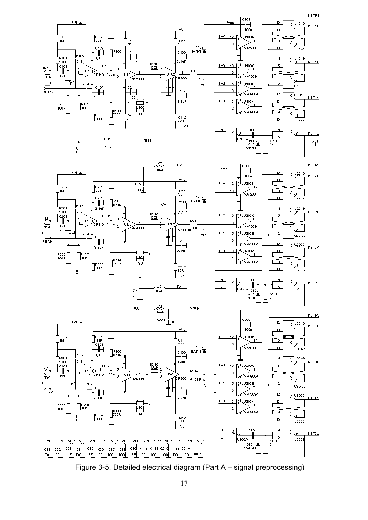

Figure 3-5. Detailed electrical diagram (Part A – signal preprocessing)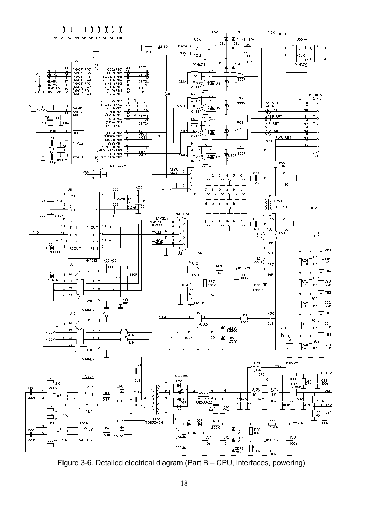

Figure 3-6. Detailed electrical diagram (Part B – CPU, interfaces, powering)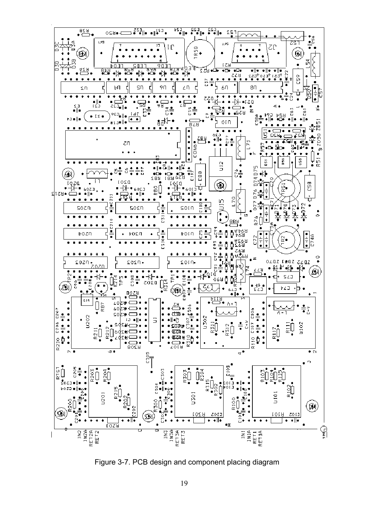

Figure 3-7. PCB design and component placing diagram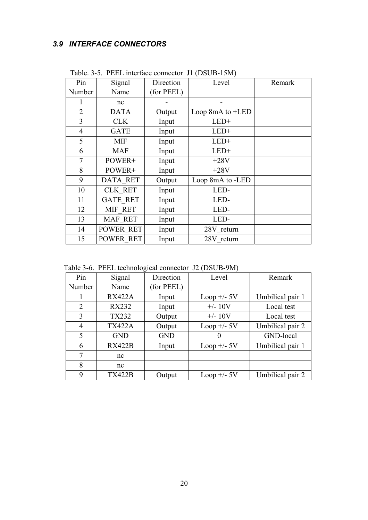## *3.9 INTERFACE CONNECTORS*

| Pin            | Signal          | Direction  | Level              | Remark |
|----------------|-----------------|------------|--------------------|--------|
| Number         | Name            | (for PEEL) |                    |        |
|                | nc              |            |                    |        |
| $\overline{2}$ | <b>DATA</b>     | Output     | Loop 8mA to $+LED$ |        |
| 3              | <b>CLK</b>      | Input      | $LED+$             |        |
| $\overline{4}$ | <b>GATE</b>     | Input      | $LED+$             |        |
| 5              | MIF             | Input      | $LED+$             |        |
| 6              | <b>MAF</b>      | Input      | LED+               |        |
| 7              | POWER+          | Input      | $+28V$             |        |
| 8              | POWER+          | Input      | $+28V$             |        |
| 9              | DATA RET        | Output     | Loop 8mA to -LED   |        |
| 10             | <b>CLK RET</b>  | Input      | LED-               |        |
| 11             | <b>GATE RET</b> | Input      | LED-               |        |
| 12             | MIF RET         | Input      | LED-               |        |
| 13             | MAF RET         | Input      | LED-               |        |
| 14             | POWER RET       | Input      | 28V return         |        |
| 15             | POWER RET       | Input      | 28V return         |        |

Table. 3-5. PEEL interface connector J1 (DSUB-15M)

Table 3-6. PEEL technological connector J2 (DSUB-9M)

| Pin            | Signal        | Direction  | Level               | Remark           |  |
|----------------|---------------|------------|---------------------|------------------|--|
| Number         | Name          | (for PEEL) |                     |                  |  |
|                | <b>RX422A</b> | Input      | Loop $+\prime$ - 5V | Umbilical pair 1 |  |
| $\overline{2}$ | <b>RX232</b>  | Input      | $+/- 10V$           | Local test       |  |
| 3              | <b>TX232</b>  | Output     | $+/- 10V$           | Local test       |  |
| 4              | <b>TX422A</b> | Output     | Loop $+/-$ 5V       | Umbilical pair 2 |  |
| 5              | <b>GND</b>    | <b>GND</b> |                     | GND-local        |  |
| 6              | <b>RX422B</b> | Input      | Loop $+/-$ 5V       | Umbilical pair 1 |  |
| 7              | nc            |            |                     |                  |  |
| 8              | nc            |            |                     |                  |  |
| 9              | <b>TX422B</b> | Output     | Loop $+\prime$ - 5V | Umbilical pair 2 |  |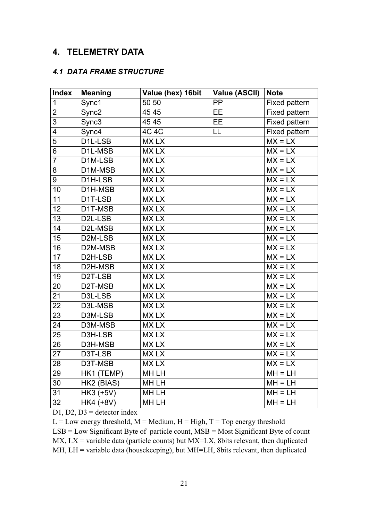## **4. TELEMETRY DATA**

#### *4.1 DATA FRAME STRUCTURE*

| <b>Index</b>    | <b>Meaning</b>         | Value (hex) 16bit | <b>Value (ASCII)</b> | <b>Note</b>   |
|-----------------|------------------------|-------------------|----------------------|---------------|
| $\mathbf{1}$    | Sync1                  | 50 50             | PP                   | Fixed pattern |
| $\overline{2}$  | Sync <sub>2</sub>      | 45 45             | <b>EE</b>            | Fixed pattern |
| $\overline{3}$  | Sync3                  | 45 45             | <b>EE</b>            | Fixed pattern |
| 4               | Sync4                  | 4C 4C             | LL                   | Fixed pattern |
| 5               | D <sub>1</sub> L-LSB   | <b>MXLX</b>       |                      | $MX = LX$     |
| 6               | D1L-MSB                | <b>MXLX</b>       |                      | $MX = LX$     |
| $\overline{7}$  | D1M-LSB                | <b>MXLX</b>       |                      | $MX = LX$     |
| 8               | D1M-MSB                | <b>MXLX</b>       |                      | $MX = LX$     |
| 9               | D1H-LSB                | <b>MXLX</b>       |                      | $MX = LX$     |
| 10              | D <sub>1</sub> H-MSB   | <b>MXLX</b>       |                      | $MX = LX$     |
| 11              | D1T-LSB                | <b>MXLX</b>       |                      | $MX = LX$     |
| 12              | D1T-MSB                | <b>MXLX</b>       |                      | $MX = LX$     |
| $\overline{13}$ | D <sub>2</sub> L-LSB   | <b>MXLX</b>       |                      | $MX = LX$     |
| 14              | D2L-MSB                | <b>MXLX</b>       |                      | $MX = LX$     |
| 15              | D <sub>2</sub> M-LSB   | <b>MXLX</b>       |                      | $MX = LX$     |
| 16              | D2M-MSB                | <b>MXLX</b>       |                      | $MX = LX$     |
| 17              | D2H-LSB                | <b>MXLX</b>       |                      | $MX = LX$     |
| 18              | D2H-MSB                | <b>MXLX</b>       |                      | $MX = LX$     |
| $\overline{19}$ | D2T-LSB                | <b>MXLX</b>       |                      | $MX = LX$     |
| 20              | D2T-MSB                | <b>MXLX</b>       |                      | $MX = LX$     |
| 21              | D3L-LSB                | <b>MXLX</b>       |                      | $MX = LX$     |
| 22              | D3L-MSB                | <b>MXLX</b>       |                      | $MX = LX$     |
| 23              | D3M-LSB                | <b>MXLX</b>       |                      | $MX = LX$     |
| 24              | D3M-MSB                | <b>MXLX</b>       |                      | $MX = LX$     |
| 25              | D3H-LSB                | <b>MXLX</b>       |                      | $MX = LX$     |
| 26              | D3H-MSB                | <b>MXLX</b>       |                      | $MX = LX$     |
| 27              | D3T-LSB                | <b>MXLX</b>       |                      | $MX = LX$     |
| 28              | D3T-MSB                | <b>MXLX</b>       |                      | $MX = LX$     |
| 29              | HK1 (TEMP)             | MH LH             |                      | $MH = LH$     |
| 30              | HK2 (BIAS)             | MH LH             |                      | $MH = LH$     |
| 31              | HK3 $\overline{(+5V)}$ | MH LH             |                      | $MH = LH$     |
| $\overline{32}$ | HK4 (+8V)              | <b>MHLH</b>       |                      | $MH = LH$     |

D1, D2, D3 = detector index

 $L = Low$  energy threshold,  $M = Medium$ ,  $H = High$ ,  $T = Top$  energy threshold LSB = Low Significant Byte of particle count, MSB = Most Significant Byte of count  $MX$ ,  $LX$  = variable data (particle counts) but  $MX= LX$ , 8bits relevant, then duplicated MH, LH = variable data (housekeeping), but MH=LH, 8bits relevant, then duplicated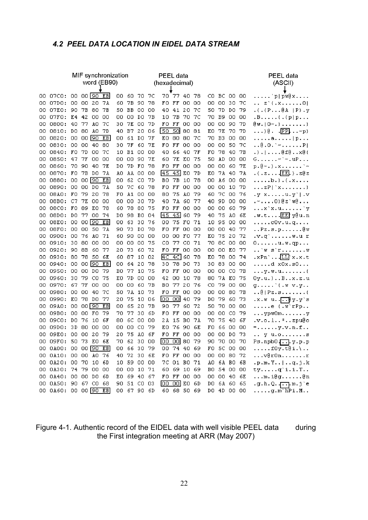## *4.2 PEEL DATA LOCATION IN EIDEL DATA STREAM*

| MIF synchronization |                      |          |           |                       |                |     | PEEL data   |           |    |               |                       |          |       |           |           | PEEL data   |       |                                                                    |
|---------------------|----------------------|----------|-----------|-----------------------|----------------|-----|-------------|-----------|----|---------------|-----------------------|----------|-------|-----------|-----------|-------------|-------|--------------------------------------------------------------------|
|                     |                      |          |           |                       | word (EB90)    |     |             |           |    | (hexadecimal) |                       |          |       |           |           |             |       | (ASCII)                                                            |
|                     | 07CO: 00             |          |           | $00$ $90$ $EB$        |                | OO. | -60         |           | 70 |               | 70 77                 | - 40     |       |           |           | BC 00 00    |       | p   pw@x                                                           |
| OO.<br>OO.          | 07D0: 00             |          | 00.       | -20                   | 7A             | 60  | 7Б          | 70.<br>90 | 78 | FO.           | $_{\rm FF}$           | 00 00    | 78    | CO.<br>ОΟ | oo        | 30.         | 7C    | .<br>$\ldots z$ . $( .x 0)$                                        |
| 00                  | 07EO: 90             |          | 7В        | 80                    | 7В             | 50. | BВ          | 00        | 00 | 40            | 41                    | 20 7C    |       | 50        | 7D        | DO 79       |       | .(. (P@A   P).y)                                                   |
| 00                  | 07FO: E4 42          |          |           | 00                    | 00             | OΟ  | 00.         | DO.       | 7В | 10            | 7В                    | 70 ZC    |       | 70.       | <b>B9</b> | 00.         | -00   | $.B$ $( .p p$                                                      |
| OO.                 | 0800: 40             |          | -77       | AΟ                    | 70             | 30  | 7E          | 00        | 7D | FО            | $\Gamma\Gamma$        | 00 00    |       | OΟ        | oo        | 90.         | - 7 D | $\mathbb{G}$ $\mathbf{u}$ , $\mid$ $\mathbf{0}$ $\sim$ . $\}$ $\}$ |
| 00.                 | 0810:                | DO.      | -80       | AO.                   | 7D             | 40. | B7          | -20.      | 06 | 50            | 50                    | 80.      | 81    | EО        | 7E        | 70.         | 7D    | $\ldots$ ) $\theta$ . $\overline{PP}$ . $\ldots$ p}                |
| 00.                 | 0820:                | -00      | 00        | 190                   | $E$ B          | OΟ  | 61          | DO        | 7F | EΟ            | 80                    | 80       | -70   | 70        | B3.       | 00.         | οo    | . a.   p                                                           |
| OO.                 | 0830:00              |          | 00        | 40                    | 80             | 30  | 7Г          | 60        | 7E | FО            | ГF                    | 00.      | 00    | OΟ        | oo        | 50.         | 7C    | $.00001 - .0100$                                                   |
| 00.                 | 0840: FO             |          | 7D        | 00.                   | 7C             | 10  | B1.         | 00.       | 00 | 40            | 66                    | 40 7F    |       | FO.       | 78        | -40 -       | 7В    | .). @f@x@{                                                         |
| 00                  | 0850:                | 47       | <b>7F</b> | 00.                   | ΟO             | OO. | 00          | 90        | 7E | 60            | <b>7E</b>             | EO.      | 75    | 50        | AD        | 00 00       |       | $G$ ~`~.uP                                                         |
| 00.                 | 0860:                |          | 70 90     | -40.                  | 7E             | DO  |             | 7D FO     | 78 | FО            | FF                    | 00 00    |       | OO.       | 00        | 60 7E       |       | $p.\theta \sim .$ ).x'~                                            |
| 00.                 | 0870:                | FO.      | 7В        | DO.                   | 7A             | AO  |             | AA 00     | 00 | 145           | 45                    | EO       | 7D    | ЕΟ        | 71.       | -40.        | -74   | $\ldots$ [EE] $\ldots$ 20 z                                        |
| 00                  | 0880: 00             |          |           | $00\sqrt{90}$         | E <sub>B</sub> | OΟ  | 62          | CO.       | 7D | BО            | 7B                    | 10       | 78    | OO.       | Aб        | 00.         | 00    | . b . } . { . x                                                    |
| OO.                 | 0890: 00 00 DO       |          |           |                       | 7A             | 50  | 7C          | 60.       | 78 | FO.           | FF                    | OO 00    |       | OO.       | 00        | 10 ZD       |       | $\ldots zP$   $x \ldots \ldots$                                    |
| OO.                 | 08A0: FO             |          | -79       | 20                    | 78             | FO  |             | A1 00     | 00 | 80            | 75                    | AO 79    |       | 60        | -7C       | 00 76       |       | $y xu y'$ .                                                        |
| 00.                 | 08B0: C7             |          | - 7 E     | 00.                   | 00             | ΟO  | 00.         | -30       | 7D | 40            | 7A                    | 60 77    |       | 40.       | 9D        | OO 00       |       | .~O}@z`w@                                                          |
| OO.                 | 08CO: FO             |          | 89        | ЕO                    | 78             | 60. | 78 80       |           | 75 | FO.           | FF                    | 00.      | -00   | OO.       | -00       | 60.         | -79   | x x.u v                                                            |
| 00.                 | 08D0: DO             |          |           | 77 00                 | 74             | DO. | 98.         | BO        | 04 | 145           | 45                    | 60       | 79    | 40        | 75        | AO.         | 6E    |                                                                    |
| OO.                 | 08E0: 00             |          |           | $00 \, \overline{90}$ | E <sub>B</sub> | OO. | -63.        | 30        | 76 | oo            | 75 FO                 |          | 71    | 10        | 95        | -00-00      |       | $\ldots$ .c0v.u.q                                                  |
| OO.                 | 08F0: 00 00          |          |           | -50                   | 7A             | 90. | 73.         | DO.       | 70 | FO            | FF                    | -00-00   |       | 00.       | -00.      | -40-77      |       | $\ldots$ Pz.s.p $\mathbb{B} \mathbb{w}$                            |
| 00.                 | 0900: 00             |          | 76        | AO.                   | 71             | 60  | 90          | OO.       | 00 | оо            | OO.                   | FO.      | -77   | EΟ        | 75        | -20         | - 72  | $.v. q' \ldots \ldots w.u. r$                                      |
| OO.                 | 0910: 30             |          | 80        | 00                    | 00             | OO. | 00          | 00        | 75 | cо            |                       | 77 CO 71 |       | 70.       | 8C        | OO 00       |       | $0 \ldots \ldots u \ldots q p \ldots$                              |
| OO.                 | 0920: 90             |          | 8В        | 60                    | 77             | 20  | 73.         | 60.       | 72 | FO.           | FF                    | -00-00   |       | ОΟ        | 00        | EO 77       |       | $\ldots$ o $s$ r o                                                 |
| OO.                 | 0930: 80             |          | 78        | -50.                  | 6E             | 60. | 87          | 10        | 02 | ПC            | 4CI                   | 60       | 78    | ΕO        | 78        | 00.         | 74    | $\overline{X}$ Pn' $\overline{L}$ . $\overline{L}$ x.x.t           |
| OO.                 | 0940:                | -00      | OO.       | 90                    | E <sub>B</sub> | ΟO  | 64          | 20        | 78 | 30            | 78                    | DO.      | 73    | 30        | 83.       | 00.         | -00   | $d$ $x0x.50$                                                       |
| 00.                 | 0950:                | -00      | 00        | DO.                   | -79            | вo  | 77          | 10        | 75 | FО            | FF                    | 00.      | 00    | ОΟ        | 00        | CO.         | 7B    | $\ldots$ y. $w$ . $u$                                              |
| 00.                 | 0960:                | 30       | 79        | CO.                   | 75             | EО  | 7D          | 00.       | 00 | 42            | ΟO                    | 10       | -78   | 80        | 7A        | EO.         | 75    | $0y.u.$ ) $B. . x.z.u$                                             |
| 00                  | 0970:                | 67.      | 7F        | 00.                   | 00             | ΟO  | 00          | 60.       | 7В | ВO            | 77                    | 20 76    |       | cо        | 79        | 00 00       |       | $g$ ' $\{ .\$ v.y                                                  |
| 00.                 | 0980:00              |          | -00       | -40.                  | 70             | 50  |             | 7A 10     | 73 | FO.           | FF                    | 00 00    |       | OO.       | 00        | 80 7B       |       | $ 0$   Pz.s(                                                       |
| 00.                 | 0990:                | - EO     | 78        | DO.                   | 77             | 20  | 75          | 10        | 06 | loo           | ool                   | 40       | 79    | DO        | 79        | 60.         | 73    | $\cdot x \cdot w$ u. $\sqrt{1 - \beta} y \cdot y$ s                |
| OO.                 | 09A0: 00             |          |           | $00\sqrt{90}$         | E <sub>B</sub> | ΟO  | 65          | -20       | 7В | 90            | 77                    | 60.      | -72   | 50        | 70        | 00 00       |       | $\ldots$ . $e$ ( $w$ rPp                                           |
| 00.                 | 09BO: 00             |          |           | 00 FO                 | 79             | 70  | 77          | -30.      | 6D | FO.           | FF                    | 00 00    |       | OO.       | OO.       | CO 79       |       | $\ldots$ ypw0my                                                    |
| OO.                 | 09CO:                | DO.      | 76        | 10                    | 6F             | 80  | £С          | 00        | OΟ | 2 A           | 15                    | BO.      | -7A   | 70        | 75        | 40 GF       |       | .v.o.1*zpu@o                                                       |
| OO.                 | 09DO:                | 3D 80 00 |           |                       | 00             | ΟO  | 00.         | -CO.      | 79 | ЕO            | 76 90                 |          | - 6 E | F0.       |           | 66 00 00    |       | $=$ y.v.n.f                                                        |
| 00                  | 09E0: 00             |          | OO.       | 20                    | 79             | 20  | 75          | AO.       | 6Г | FO.           | FF                    | 00.      | ΟO    | OΟ        | oo        | DO.         | 73    | v u.os                                                             |
|                     | 00 09F0: 50 73 E0 6E |          |           |                       |                | 70. | 62          | -30-00    |    | loo.          | $\overline{00}$ 80 79 |          |       | 90.       |           | 70 00 70    |       | $Ps.npb0$ , $y.p.p$                                                |
|                     | 00 0A00: 00 00 00 EB |          |           |                       |                |     | 00 66 30 79 |           |    |               | 00 74 40 69           |          |       |           |           | FO 5C 00 00 |       | $\ldots$ .f0y.t@i.\                                                |
|                     | 00 0A10: 00 00 AO 76 |          |           |                       |                |     | 40 72 30 6E |           |    |               | FO FF 00 00           |          |       |           |           | 00 00 80 72 |       | $\ldots$ v@r0nr                                                    |
|                     | 00 0A20: 00 70 10 6D |          |           |                       |                |     | 10 59 00 00 |           |    |               | 70 01 B0 71           |          |       |           |           | AO 6A BO 6B |       | [p.m.Y] . q.j.k                                                    |
|                     | 00 0A30: 74 79 00 00 |          |           |                       |                |     | 00 00 10 71 |           |    |               | 60 69 10 69           |          |       |           |           | BO 54 00 00 |       | tyq'i.i.T                                                          |
|                     | 00 0A40: 00 00 DO 6D |          |           |                       |                |     | EO 69 40 67 |           |    |               | FO FF 00 00           |          |       |           |           | 00 00 40 6E |       | m.i@g@n                                                            |
|                     | 00 0A50: 90 67 CO 68 |          |           |                       |                |     | 90 51 CO 03 |           |    |               | $[00 00]$ EO 6D       |          |       |           |           | DO 6A 6O 65 |       | $.g. h. Q. \overline{[\cdots]} \text{ m. j} \text{'e}$             |
|                     | 00 0A60: 00 00 90    |          |           |                       | E <sub>B</sub> |     | 00 67 90 6D |           |    |               | 60 68 50 69           |          |       |           |           | DO 4D 00 00 |       | $\ldots$ .g.m`hPi.M                                                |

Figure 4-1. Authentic record of the EIDEL data with well visible PEEL data during the First integration meeting at ARR (May 2007)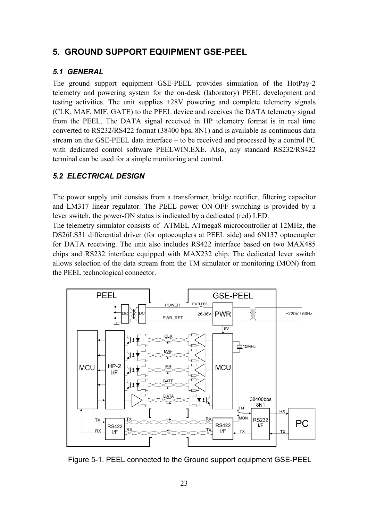## **5. GROUND SUPPORT EQUIPMENT GSE-PEEL**

#### *5.1 GENERAL*

The ground support equipment GSE-PEEL provides simulation of the HotPay-2 telemetry and powering system for the on-desk (laboratory) PEEL development and testing activities. The unit supplies +28V powering and complete telemetry signals (CLK, MAF, MIF, GATE) to the PEEL device and receives the DATA telemetry signal from the PEEL. The DATA signal received in HP telemetry format is in real time converted to RS232/RS422 format (38400 bps, 8N1) and is available as continuous data stream on the GSE-PEEL data interface – to be received and processed by a control PC with dedicated control software PEELWIN.EXE. Also, any standard RS232/RS422 terminal can be used for a simple monitoring and control.

## *5.2 ELECTRICAL DESIGN*

The power supply unit consists from a transformer, bridge rectifier, filtering capacitor and LM317 linear regulator. The PEEL power ON-OFF switching is provided by a lever switch, the power-ON status is indicated by a dedicated (red) LED.

The telemetry simulator consists of ATMEL ATmega8 microcontroller at 12MHz, the DS26LS31 differential driver (for optocouplers at PEEL side) and 6N137 optocoupler for DATA receiving. The unit also includes RS422 interface based on two MAX485 chips and RS232 interface equipped with MAX232 chip. The dedicated lever switch allows selection of the data stream from the TM simulator or monitoring (MON) from the PEEL technological connector.



Figure 5-1. PEEL connected to the Ground support equipment GSE-PEEL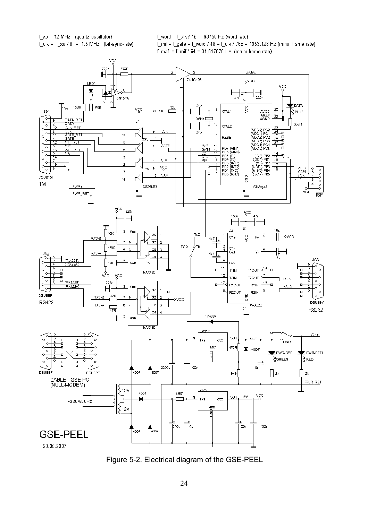f\_xo = 12 MHz (quartz oscillator)  $f_clk = f_xo / 8 = 1.5 MHz$  (bit-sync-rate)  $f_$ word =  $f_$ clk / 16 = 93750 Hz (word-rate) f\_mif = f\_gate = f\_word / 48 = f\_clk / 768 = 1953,128 Hz (minor frame rate) f maf = f mif /  $64 = 31,517578$  Hz (major frame rate)



Figure 5-2. Electrical diagram of the GSE-PEEL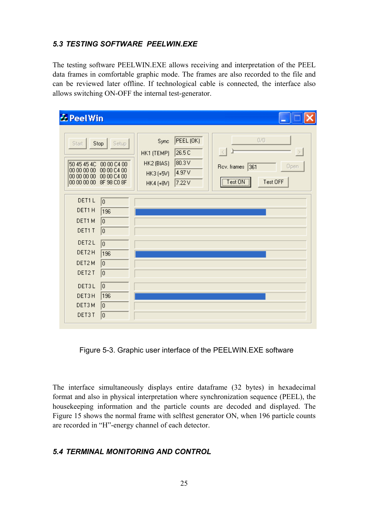#### *5.3 TESTING SOFTWARE PEELWIN.EXE*

The testing software PEELWIN.EXE allows receiving and interpretation of the PEEL data frames in comfortable graphic mode. The frames are also recorded to the file and can be reviewed later offline. If technological cable is connected, the interface also allows switching ON-OFF the internal test-generator.

| & PeelWin                                                                                                                                                                                |                                                                                                                                                                             |               |
|------------------------------------------------------------------------------------------------------------------------------------------------------------------------------------------|-----------------------------------------------------------------------------------------------------------------------------------------------------------------------------|---------------|
| Stop<br>Start<br>Setup<br>50 45 45 4C<br>00 00 C4 00<br>00 00 C4 00<br>00 00 00 00<br>00 00 00 00<br>00 00 C4 00<br>00 00 00 00<br>8F 98 C0 8F                                           | PEEL (OK)<br>0/0<br>Sync<br>26.5C<br>HK1 (TEMP)<br> 80.3V<br>HK2 (BIAS)<br>361<br>Rov. frames<br>Open<br>4.97 V<br>$HK3 (+5V)$<br>Test ON<br>Test OFF<br>7.22V<br>HK4 (+8V) | $\rightarrow$ |
| DET1L<br>o<br>DET1H<br>196<br>DET1M<br>o<br>DET1 T<br>o<br>DET2L<br>o<br>DET2H<br>196<br>DET2M<br>$\overline{0}$<br>DET2T<br>o<br>0<br>DET3L<br>DET3H<br>196<br>DET3M<br>o<br>DET3T<br>o |                                                                                                                                                                             |               |

Figure 5-3. Graphic user interface of the PEELWIN.EXE software

The interface simultaneously displays entire dataframe (32 bytes) in hexadecimal format and also in physical interpretation where synchronization sequence (PEEL), the housekeeping information and the particle counts are decoded and displayed. The Figure 15 shows the normal frame with selftest generator ON, when 196 particle counts are recorded in "H"-energy channel of each detector.

## *5.4 TERMINAL MONITORING AND CONTROL*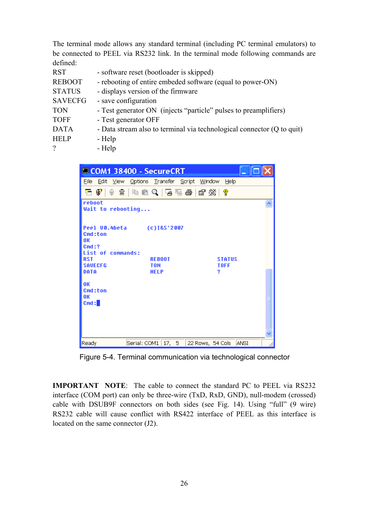The terminal mode allows any standard terminal (including PC terminal emulators) to be connected to PEEL via RS232 link. In the terminal mode following commands are defined:

| <b>RST</b>     | - software reset (bootloader is skipped)                               |
|----------------|------------------------------------------------------------------------|
| <b>REBOOT</b>  | - rebooting of entire embeded software (equal to power-ON)             |
| <b>STATUS</b>  | - displays version of the firmware                                     |
| <b>SAVECFG</b> | - save configuration                                                   |
| <b>TON</b>     | - Test generator ON (injects "particle" pulses to preamplifiers)       |
| <b>TOFF</b>    | - Test generator OFF                                                   |
| <b>DATA</b>    | - Data stream also to terminal via technological connector (Q to quit) |
| <b>HELP</b>    | - Help                                                                 |
| $\gamma$       | - Help                                                                 |

|                                                           | COM1 38400 - SecureCRT                         |                           |
|-----------------------------------------------------------|------------------------------------------------|---------------------------|
| <b>File</b><br>Edit<br>⊻iew                               | Options Transfer Script Window                 | Help                      |
| 名 62<br>ାଇ                                                | - #   #   #   Q   5 5 <del>4</del>   #   x   ? |                           |
| reboot<br>Wait to rebooting                               |                                                |                           |
| Cmd:ton<br>OК<br>Cmd:?<br>List of commands:<br><b>RST</b> | Peel 00.4beta (c)I&S'2007<br><b>REBOOT</b>     | <b>STATUS</b>             |
| <b>SAUECFG</b><br>DATA                                    | <b>TON</b><br><b>HELP</b>                      | <b>TOFF</b><br>2          |
| 0K<br>Cmd:ton<br>0K<br>Cmd:                               |                                                |                           |
| Ready                                                     | Serial: COM1   17, 5                           | 22 Rows, 54 Cols<br>IANSI |

Figure 5-4. Terminal communication via technological connector

**IMPORTANT NOTE**: The cable to connect the standard PC to PEEL via RS232 interface (COM port) can only be three-wire (TxD, RxD, GND), null-modem (crossed) cable with DSUB9F connectors on both sides (see Fig. 14). Using "full" (9 wire) RS232 cable will cause conflict with RS422 interface of PEEL as this interface is located on the same connector (J2).